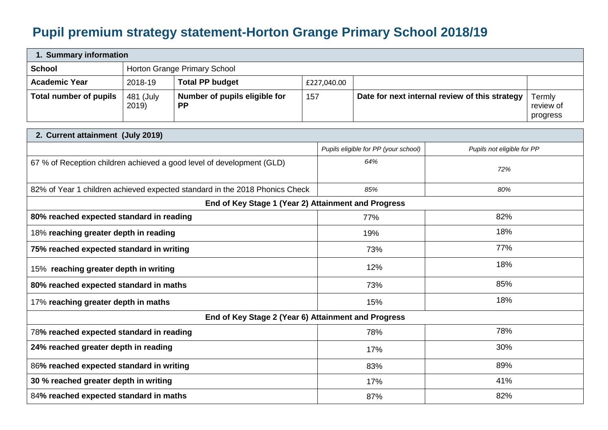## **Pupil premium strategy statement-Horton Grange Primary School 2018/19**

| 1. Summary information |                              |                                            |             |                                                |                                 |  |  |  |
|------------------------|------------------------------|--------------------------------------------|-------------|------------------------------------------------|---------------------------------|--|--|--|
| <b>School</b>          | Horton Grange Primary School |                                            |             |                                                |                                 |  |  |  |
| <b>Academic Year</b>   | 2018-19                      | <b>Total PP budget</b>                     | £227,040.00 |                                                |                                 |  |  |  |
| Total number of pupils | 481 (July<br>2019)           | Number of pupils eligible for<br><b>PP</b> | 157         | Date for next internal review of this strategy | Termly<br>review of<br>progress |  |  |  |

| 2. Current attainment (July 2019)                                           |                                      |                            |  |  |  |
|-----------------------------------------------------------------------------|--------------------------------------|----------------------------|--|--|--|
|                                                                             | Pupils eligible for PP (your school) | Pupils not eligible for PP |  |  |  |
| 67 % of Reception children achieved a good level of development (GLD)       | 64%                                  | 72%                        |  |  |  |
| 82% of Year 1 children achieved expected standard in the 2018 Phonics Check | 85%                                  | 80%                        |  |  |  |
| End of Key Stage 1 (Year 2) Attainment and Progress                         |                                      |                            |  |  |  |
| 80% reached expected standard in reading                                    | 77%                                  | 82%                        |  |  |  |
| 18% reaching greater depth in reading                                       | 19%                                  | 18%                        |  |  |  |
| 75% reached expected standard in writing                                    | 73%                                  | 77%                        |  |  |  |
| 15% reaching greater depth in writing                                       | 12%                                  | 18%                        |  |  |  |
| 80% reached expected standard in maths                                      | 73%                                  | 85%                        |  |  |  |
| 17% reaching greater depth in maths                                         | 15%                                  | 18%                        |  |  |  |
| End of Key Stage 2 (Year 6) Attainment and Progress                         |                                      |                            |  |  |  |
| 78% reached expected standard in reading                                    | 78%                                  | 78%                        |  |  |  |
| 24% reached greater depth in reading                                        | 17%                                  | 30%                        |  |  |  |
| 86% reached expected standard in writing                                    | 83%                                  | 89%                        |  |  |  |
| 30 % reached greater depth in writing                                       | 17%                                  | 41%                        |  |  |  |
| 84% reached expected standard in maths                                      | 87%                                  | 82%                        |  |  |  |